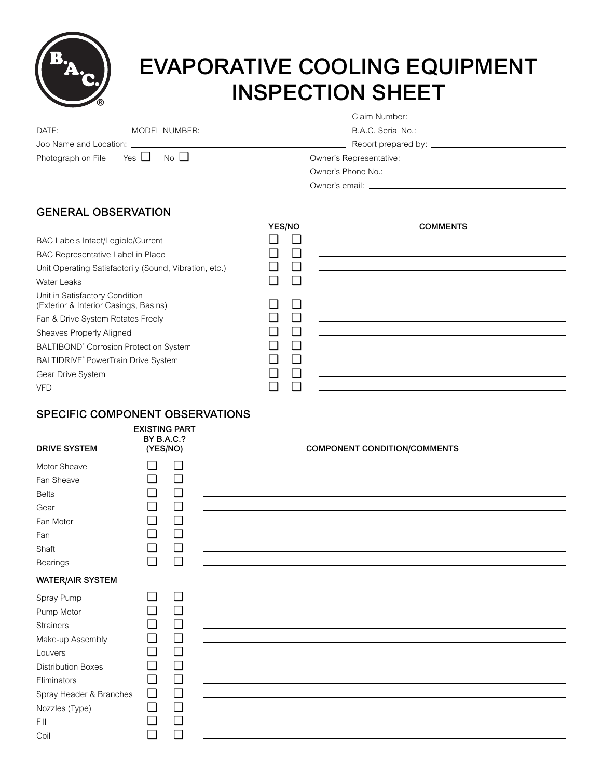| ® |
|---|

# EVAPORATIVE COOLING EQUIPMENT INSPECTION SHEET

| Photograph on File Yes $\Box$ No $\Box$ |                                                                                                                                                                                                                                |  |  |
|-----------------------------------------|--------------------------------------------------------------------------------------------------------------------------------------------------------------------------------------------------------------------------------|--|--|
|                                         | Owner's Phone No.: The contract of the contract of the contract of the contract of the contract of the contract of the contract of the contract of the contract of the contract of the contract of the contract of the contrac |  |  |
|                                         |                                                                                                                                                                                                                                |  |  |

## GENERAL OBSERVATION

|                                                                         | YES/NO         | <b>COMMENTS</b>                                                                                                       |
|-------------------------------------------------------------------------|----------------|-----------------------------------------------------------------------------------------------------------------------|
| <b>BAC Labels Intact/Legible/Current</b>                                |                |                                                                                                                       |
| BAC Representative Label in Place                                       | $\blacksquare$ | <u> 1989 - John Stein, markin sammen sammen som står startet som startet som startet som startet som s</u>            |
| Unit Operating Satisfactorily (Sound, Vibration, etc.)                  | $\perp$        |                                                                                                                       |
| <b>Water Leaks</b>                                                      | $\perp$        |                                                                                                                       |
| Unit in Satisfactory Condition<br>(Exterior & Interior Casings, Basins) | $\blacksquare$ |                                                                                                                       |
| Fan & Drive System Rotates Freely                                       | $\blacksquare$ | <u> 1989 - Johann Johann Stoff, deutscher Stoff und der Stoff und der Stoff und der Stoff und der Stoff und der S</u> |
| Sheaves Properly Aligned                                                | $\blacksquare$ | the contract of the contract of the contract of the contract of the contract of the contract of the contract of       |
| BALTIBOND® Corrosion Protection System                                  | $\blacksquare$ | <u>a sa barang di salah sahiji désa di salah sahiji désa di salah sahiji désa di salah sahiji désa di salah sa</u>    |
| BALTIDRIVE® PowerTrain Drive System                                     | $\blacksquare$ | <u> 1980 - Jan Sterlin Sterlin Sterlin Sterlin Sterlin Sterlin Sterlin Sterlin Sterlin Sterlin Sterlin Sterlin S</u>  |
| Gear Drive System                                                       | $\blacksquare$ |                                                                                                                       |
| <b>VFD</b>                                                              |                |                                                                                                                       |

### SPECIFIC COMPONENT OBSERVATIONS

|                           | <b>EXISTING PART</b><br><b>BY B.A.C.?</b> |        |                                     |
|---------------------------|-------------------------------------------|--------|-------------------------------------|
| <b>DRIVE SYSTEM</b>       | (YES/NO)                                  |        | <b>COMPONENT CONDITION/COMMENTS</b> |
| Motor Sheave              |                                           | $\Box$ |                                     |
| Fan Sheave                | ⊔                                         | $\Box$ |                                     |
| <b>Belts</b>              | ❏                                         | $\Box$ |                                     |
| Gear                      | $\blacksquare$                            | $\Box$ |                                     |
| Fan Motor                 | $\blacksquare$                            | $\Box$ |                                     |
| Fan                       | $\Box$                                    | ❏      |                                     |
| Shaft                     | $\Box$                                    | $\Box$ |                                     |
| Bearings                  | $\Box$                                    | $\Box$ |                                     |
| <b>WATER/AIR SYSTEM</b>   |                                           |        |                                     |
| Spray Pump                | ⊔                                         | $\Box$ |                                     |
| Pump Motor                | ❏                                         | $\Box$ |                                     |
| Strainers                 | $\blacksquare$                            | $\Box$ |                                     |
| Make-up Assembly          | П                                         | $\Box$ |                                     |
| Louvers                   | $\sqcup$                                  | $\Box$ |                                     |
| <b>Distribution Boxes</b> | ◻                                         | $\Box$ |                                     |
| Eliminators               | ❏                                         | $\Box$ |                                     |
| Spray Header & Branches   | $\Box$                                    | $\Box$ |                                     |
| Nozzles (Type)            | $\Box$                                    | $\Box$ |                                     |
| Fill                      | $\blacksquare$                            | $\Box$ |                                     |
| Coil                      |                                           | П      |                                     |